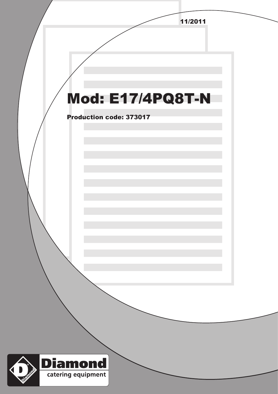|                                              | 11/2011 |  |
|----------------------------------------------|---------|--|
|                                              |         |  |
|                                              |         |  |
|                                              |         |  |
|                                              |         |  |
|                                              |         |  |
| <b>Mod: E17/4PQ8T-N</b>                      |         |  |
| <b>Production code: 373017</b>               |         |  |
|                                              |         |  |
|                                              |         |  |
|                                              |         |  |
|                                              |         |  |
|                                              |         |  |
|                                              |         |  |
|                                              |         |  |
|                                              |         |  |
|                                              |         |  |
|                                              |         |  |
|                                              |         |  |
|                                              |         |  |
|                                              |         |  |
|                                              |         |  |
|                                              |         |  |
|                                              |         |  |
|                                              |         |  |
|                                              |         |  |
| Diamond                                      |         |  |
| <b>District Only 1</b><br>catering equipment |         |  |
|                                              |         |  |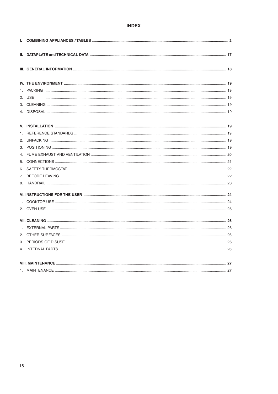#### **INDEX**

| 2. USE |  |
|--------|--|
|        |  |
|        |  |
|        |  |
|        |  |
|        |  |
|        |  |
|        |  |
|        |  |
|        |  |
|        |  |
|        |  |
|        |  |
|        |  |
|        |  |
|        |  |
|        |  |
|        |  |
|        |  |
|        |  |
|        |  |
|        |  |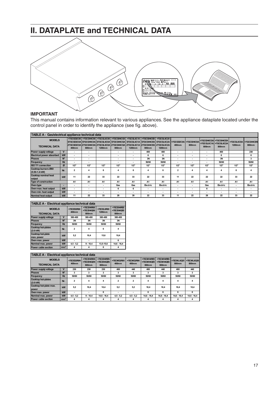# **II. DATAPLATE and TECHNICAL DATA**



#### **IMPORTANT**

This manual contains information relevant to various appliances. See the appliance dataplate located under the control panel in order to identify the appliance (see fig. above).

| TABLE A - Gas/electrical appliance technical data |              |                          |                          |        |                                                                                                                                                                                                                            |                          |                          |                                            |                                |        |                                |                                |                                        |                          |
|---------------------------------------------------|--------------|--------------------------|--------------------------|--------|----------------------------------------------------------------------------------------------------------------------------------------------------------------------------------------------------------------------------|--------------------------|--------------------------|--------------------------------------------|--------------------------------|--------|--------------------------------|--------------------------------|----------------------------------------|--------------------------|
| <b>MODELS</b><br><b>TECHNICAL DATA</b>            |              | 400mm                    | 800mm                    | 1200mm | +7GCGD2C00 +7GCGH4C00 +7GCGL6C00 +7GCGH4CG0<br>E7GCGD2C0A E7GCGH4C0A E7GCGL6C0A E7GCGH4CGA E7GCGL6C1A E7GCGH4CEA E7GCGL6C2A<br>Z7GCGD2C0A IZ7GCGH4C0A IZ7GCGL6C0A IZ7GCGH4CGA IZ7GCGL6C1A IZ7GCGH4CEA IZ7GCGL6C2A<br>800mm | 1200mm                   | 800mm                    | +7GCGL6C10 +7GCGH4CE0 +7GCGL6C20<br>1200mm | +7GCGD2C0A +7GCGH4C0A<br>400mm | 800mm  | +7GCGL6C1A +7GCGL6C2A<br>800mm | +7GCGH4CGA +7GCGH4CEA<br>800mm | +7GCGL6C0A +7GCGH4CEN<br><b>1200mm</b> | 800mm                    |
| Power supply voltage                              | $\mathbf{v}$ | $\overline{\phantom{a}}$ | $\overline{\phantom{a}}$ |        |                                                                                                                                                                                                                            | $\overline{\phantom{a}}$ | 400                      | 400                                        | $\overline{\phantom{a}}$       |        |                                | 400                            |                                        | 230                      |
| <b>Electrical power absorbed</b>                  | kW           | $\overline{\phantom{a}}$ | $\overline{\phantom{a}}$ |        | $\overline{\phantom{a}}$                                                                                                                                                                                                   |                          | 6                        | 6                                          | $\overline{\phantom{a}}$       |        | ۰                              | 6                              |                                        | 6                        |
| <b>Phases</b>                                     | $N^{\circ}$  | $\overline{\phantom{a}}$ | $\overline{\phantom{a}}$ |        | ٠                                                                                                                                                                                                                          |                          | 3N                       | 3N                                         | $\overline{\phantom{a}}$       |        | ۰                              | 3N                             |                                        | 3                        |
| Frequency                                         | <b>Hz</b>    | $\overline{\phantom{a}}$ | $\overline{\phantom{a}}$ |        | $\overline{\phantom{a}}$                                                                                                                                                                                                   | ۰                        | 50/60                    | 50/60                                      | $\overline{\phantom{a}}$       | $\sim$ | ۰                              | 50/60                          |                                        | 50/60                    |
| ISO 7/1 connection                                | ø            | 1/2"                     | 1/2"                     | 1/2"   | 1/2"                                                                                                                                                                                                                       | 1/2"                     | 1/2"                     | 1/2"                                       | 1/2"                           | 1/2"   | 1/2"                           | 1/2"                           | 1/2"                                   | 1/2"                     |
| Cooktop burners Ø60<br>(5.50-1.4 kW)              | Nr.          | $\overline{2}$           |                          |        | 4                                                                                                                                                                                                                          | 6                        | 4                        | 6                                          | $\overline{2}$                 |        |                                |                                | 6                                      |                          |
| <b>Cooktop nominal heat</b><br>output             | kW           | 11                       | 22                       | 33     | 22                                                                                                                                                                                                                         | 33                       | 22                       | 33                                         | 11                             | 22     | 22                             | 22                             | 33                                     | 22                       |
| <b>Type of construction</b>                       |              | A1                       | A1                       | A1     | A <sub>1</sub>                                                                                                                                                                                                             | A1                       | A1                       | A <sub>1</sub>                             | A1                             | A1     | Α1                             | A1                             | A1                                     | A1                       |
| Oven type                                         |              | $\overline{\phantom{a}}$ |                          | ۰      | Gas                                                                                                                                                                                                                        | Gas                      | <b>Electric</b>          | <b>Electric</b>                            | $\overline{\phantom{a}}$       | -      | Gas                            | <b>Electric</b>                | $\overline{\phantom{a}}$               | <b>Electric</b>          |
| Oven max, heat output                             | kW           | $\overline{\phantom{a}}$ | $\overline{\phantom{a}}$ | ۰      | 6                                                                                                                                                                                                                          | 6                        |                          | $\overline{\phantom{a}}$                   | $\overline{\phantom{a}}$       | ۰      | 6                              |                                | $\overline{\phantom{a}}$               | $\overline{\phantom{a}}$ |
| Oven min. heat output                             | kW           | $\overline{\phantom{a}}$ |                          | ۰      | ٠                                                                                                                                                                                                                          | $\overline{\phantom{a}}$ | $\overline{\phantom{a}}$ | $\overline{\phantom{a}}$                   |                                | ٠      | ۰                              | $\overline{\phantom{a}}$       | $\overline{\phantom{a}}$               |                          |
| Nominal heat output                               | kW           | 11                       | 22                       | 33     | 28                                                                                                                                                                                                                         | 39                       | 22                       | 33                                         | 11                             | 22     | 28                             | 22                             | 33                                     | 22                       |

| TABLE A - Electrical appliance technical data |                 |                     |                                   |                      |                                   |  |  |  |  |
|-----------------------------------------------|-----------------|---------------------|-----------------------------------|----------------------|-----------------------------------|--|--|--|--|
| <b>MODELS</b><br><b>TECHNICAL DATA</b>        |                 | +7ECED2R00<br>400mm | +7ECEH4R00<br>+7ECEH4Q00<br>800mm | +7ECEL6R00<br>1200mm | +7ECEH4RE0<br>+7ECEH4QE0<br>800mm |  |  |  |  |
| Power supply voltage                          | V               | 380-400             | 380-400                           | 380-400              | 380-400                           |  |  |  |  |
| <b>Phases</b>                                 | N°              | 3N                  | 3N                                | 3N                   | 3N                                |  |  |  |  |
| Frequency                                     | <b>Hz</b>       | 50/60               | 50/60                             | 50/60                | 50/60                             |  |  |  |  |
| <b>Cooktop hot-plates</b><br>$(2.6$ kW)       | Nr.             | $\overline{2}$      | 4                                 | 6                    | 4                                 |  |  |  |  |
| <b>Cooktop hot-plate</b><br>max. power        | kW              | 5.2                 | 10.4                              | 15.6                 | 10.4                              |  |  |  |  |
| Oven max. power                               | kW              |                     |                                   |                      | 6                                 |  |  |  |  |
| Nominal max. power                            | kW              | $4.5 - 5.2$         | $9 - 10.4$                        | 13.5-15.6            | $14.6 - 16.4$                     |  |  |  |  |
| Power cable section                           | mm <sup>2</sup> | 4                   |                                   | 6                    |                                   |  |  |  |  |

| <b>TABLE A - Electrical appliance technical data</b> |                 |                     |                                   |                                   |                     |                     |                                   |                                   |                     |                     |
|------------------------------------------------------|-----------------|---------------------|-----------------------------------|-----------------------------------|---------------------|---------------------|-----------------------------------|-----------------------------------|---------------------|---------------------|
| <b>MODELS</b><br><b>TECHNICAL DATA</b>               |                 | +7ECED2R0N<br>400mm | +7ECEH4R0N<br>+7ECEH4Q0N<br>800mm | +7ECEH4REN<br>+7ECEH4QEN<br>800mm | +7ECMD2R05<br>400mm | +7ECMD2R06<br>400mm | +7ECMH4RE5<br>+7ECMH4QE5<br>800mm | +7ECMH4RE6<br>+7ECMH4QE6<br>800mm | +7ECML6Q25<br>800mm | +7ECML6Q26<br>800mm |
| Power supply voltage                                 | v               | 230                 | 230                               | 230                               | 400                 | 440                 | 400                               | 440                               | 400                 | 440                 |
| <b>Phases</b>                                        | $N^{\circ}$     | 3                   | 3                                 | 3                                 | 3                   | 3                   | 3                                 | 3                                 | 3                   | 3                   |
| Frequency                                            | <b>Hz</b>       | 50/60               | 50/60                             | 50/60                             | 50/60               | 50/60               | 50/60                             | 50/60                             | 50/60               | 50/60               |
| <b>Cooktop hot-plates</b><br>$(2.6$ kW)              | Nr.             | $\overline{2}$      | 4                                 | 4                                 | $\overline{2}$      | $\overline{2}$      | 4                                 | 4                                 | 4                   | 4                   |
| Cooktop hot-plate max.<br>power                      | kW              | 5.2                 | 10.4                              | 10.4                              | 5.2                 | 5,2                 | 10.4                              | 10.4                              | 10.4                | 10.4                |
| Oven max. power                                      | kW              |                     | $\blacksquare$                    | 6                                 | ۰                   | ۰                   | 6                                 | 6                                 | 6                   | 6                   |
| Nominal max. power                                   | kW              | $4.5 - 5.2$         | $9 - 10.4$                        | $14.6 - 16.4$                     | $4.5 - 5.2$         | $4.5 - 5.2$         | $14.6 - 16.4$                     | $14.6 - 16.4$                     | $14.6 - 16.4$       | $14.6 - 16.4$       |
| Power cable section                                  | mm <sup>2</sup> | 4                   | 4                                 | 4                                 | 4                   | 4                   | 4                                 | 4                                 | 4                   | 4                   |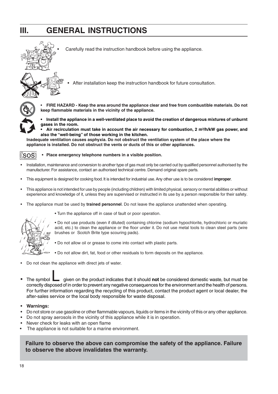# **III. GENERAL INSTRUCTIONS**



• Carefully read the instruction handbook before using the appliance.





• **FIRE HAZARD - Keep the area around the appliance clear and free from combustible materials. Do not keep flammable materials in the vicinity of the appliance.**

**• Install the appliance in a well-ventilated place to avoid the creation of dangerous mixtures of unburnt gases in the room.**

Air recirculation must take in account the air necessary for combustion, 2 m<sup>3</sup>/h/kW gas power, and **also the "well-being" of those working in the kitchen.**

**Inadequate ventilation causes asphyxia. Do not obstruct the ventilation system of the place where the appliance is installed. Do not obstruct the vents or ducts of this or other appliances.**



**• Place emergency telephone numbers in a visible position.**

- Installation, maintenance and conversion to another type of gas must only be carried out by qualified personnel authorised by the manufacturer. For assistance, contact an authorised technical centre. Demand original spare parts.
- This equipment is designed for cooking food. It is intended for industrial use. Any other use is to be considered **improper**.
- This appliance is not intended for use by people (including children) with limited physical, sensory or mental abilities or without experience and knowledge of it, unless they are supervised or instructed in its use by a person responsible for their safety.
- The appliance must be used by **trained personnel**. Do not leave the appliance unattended when operating.



• Turn the appliance off in case of fault or poor operation.

• Do not use products (even if diluted) containing chlorine (sodium hypochlorite, hydrochloric or muriatic acid, etc.) to clean the appliance or the floor under it. Do not use metal tools to clean steel parts (wire brushes or Scotch Brite type scouring pads).

- Do not allow oil or grease to come into contact with plastic parts.
- Do not allow dirt, fat, food or other residuals to form deposits on the appliance.
- Do not clean the appliance with direct jets of water.
- The symbol **Loss a** given on the product indicates that it should **not** be considered domestic waste, but must be correctly disposed of in order to prevent any negative consequences for the environment and the health of persons. For further information regarding the recycling of this product, contact the product agent or local dealer, the after-sales service or the local body responsible for waste disposal.
- **Warnings:**
- Do not store or use gasoline or other flammable vapours, liquids or items in the vicinity of this or any other appliance.
- Do not spray aerosols in the vicinity of this appliance while it is in operation.
- Never check for leaks with an open flame
- The appliance is not suitable for a marine environment.

**Failure to observe the above can compromise the safety of the appliance. Failure to observe the above invalidates the warranty.**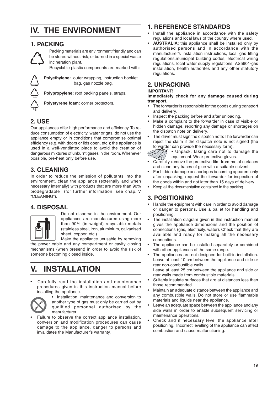# **IV. THE ENVIRONMENT**

## **1. PACKING**



Packing materials are environment friendly and can be stored without risk, or burned in a special waste incineration plant.

Recyclable plastic components are marked with:



**Polyethylene:** outer wrapping, instruction booklet bag, gas nozzle bag.

**Polypropylene:** roof packing panels, straps.

**Polystyrene foam:** corner protectors.

# **2. USE**

Our appliances offer high performance and efficiency. To reduce consumption of electricity, water or gas, do not use the appliance empty or in conditions that compromise optimal efficiency (e.g. with doors or lids open, etc.); the appliance is used in a well-ventilated place to avoid the creation of dangerous mixtures of unburnt gases in the room. Whenever possible, pre-heat only before use.

# **3. CLEANING**

In order to reduce the emission of pollutants into the environment, clean the appliance (externally and when necessary internally) with products that are more than 90% biodegradable (for further information, see chap. V "CLEANING").

# **4. DISPOSAL**



Do not disperse in the environment. Our appliances are manufactured using more than 90% (in weight) recyclable metals (stainless steel, iron, aluminium, galvanised sheet, copper, etc.).

Make the appliance unusable by removing the power cable and any compartment or cavity closing mechanisms (when present) in order to avoid the risk of someone becoming closed inside.

# **V. INSTALLATION**

• Carefully read the installation and maintenance procedures given in this instruction manual before installing the appliance.



• Installation, maintenance and conversion to another type of gas must only be carried out by qualified personnel authorised by the manufacturer.

Failure to observe the correct appliance installation, conversion and modification procedures can cause damage to the appliance, danger to persons and invalidates the Manufacturer's warranty.

# **1. REFERENCE STANDARDS**

- Install the appliance in accordance with the safety regulations and local laws of the country where used.
- **AUSTRALIA**: this appliance shall be installed only by authorised persons and in accordance with the manufacturer's installation instructions, local gas fitting regulations,municipal building codes, electrical wiring regulations, local water supply regulations, AS5601-gas installation, health authorites and any other statutory regulations.

## **2. UNPACKING**

#### **IMPORTANT!**

**Immediately check for any damage caused during transport.**

- The forwarder is responsible for the goods during transport and delivery.
- Inspect the packing before and after unloading.
- Make a complaint to the forwarder in case of visible or hidden damage, reporting any damage or shortages on the dispatch note on delivery.
- The driver must sign the dispatch note: The forwarder can reject the claim if the dispatch note is not signed (the forwarder can provide the necessary form).

• Unpack, taking care not to damage the equipment. Wear protective gloves.

- Carefully remove the protective film from metal surfaces and clean any traces of glue with a suitable solvent.
- For hidden damage or shortages becoming apparent only after unpacking, request the forwarder for inspection of the goods within and not later than 15 days of delivery.
- Keep all the documentation contained in the packing.

# **3. POSITIONING**

- Handle the equipment with care in order to avoid damage or danger to persons. Use a pallet for handling and positioning.
- The installation diagram given in this instruction manual gives the appliance dimensions and the position of connections (gas, electricity, water). Check that they are available and ready for making all the necessary connections.
- The appliance can be installed separately or combined with other appliances of the same range.
- The appliances are not designed for built-in installation. Leave at least 10 cm between the appliance and side or rear non-combustible walls.

Leave at least 25 cm between the appliance and side or rear walls made from combustible materials.

- Suitably insulate surfaces that are at distances less than those recommended.
- Maintain an adequate distance between the appliance and any combustible walls. Do not store or use flammable materials and liquids near the appliance.
- Leave an adequate space between the appliance and any side walls in order to enable subsequent servicing or maintenance operations.
- Check and if necessary level the appliance after positioning. Incorrect levelling of the appliance can affect combustion and cause malfunctioning.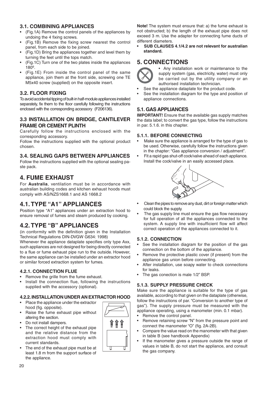#### **3.1. COMBINING APPLIANCES**

- (Fig.1A) Remove the control panels of the appliances by undoing the 4 fixing screws.
- (Fig.1B) Remove the fixing screw nearest the control panel, from each side to be joined.
- (Fig.1D) Bring the appliances together and level them by turning the feet until the tops match.
- (Fig.1C) Turn one of the two plates inside the appliances 180º.
- (Fig.1E) From inside the control panel of the same appliance, join them at the front side, screwing one TE M5x40 screw (supplied) on the opposite insert.

#### **3.2. FLOOR FIXING**

To avoid accidental tipping of built-in half-module appliances installed separately, fix them to the floor carefully following the instructions enclosed with the corresponding accessory (F206136).

#### **3.3 INSTALLATION ON BRIDGE, CANTILEVER FRAME OR CEMENT PLINTH**

Carefully follow the instructions enclosed with the corresponding accessory.

Follow the instructions supplied with the optional product chosen.

#### **3.4. SEALING GAPS BETWEEN APPLIANCES**

Follow the instructions supplied with the optional sealing paste pack.

## **4. FUME EXHAUST**

For **Australia**, ventilation must be in accordance with australian building codes and kitchen exhaust hoods must comply with AS/NZS1668.1 and AS 1668.2

## **4.1. TYPE "A1" APPLIANCES**

Position type "A1" appliances under an extraction hood to ensure removal of fumes and steam produced by cooking.

# **4.2. TYPE "B" APPLIANCES**

(in conformity with the definition given in the Installation Technical Regulations DIN-DVGW G634: 1998)

Whenever the appliance dataplate specifies only type Axx, such appliances are not designed for being directly connected to a flue or fume exhaust pipe run to the outside. However, the same appliance can be installed under an extractor hood or similar forced extraction system for fumes.

#### **4.2.1. CONNECTION FLUE**

- Remove the grille from the fume exhaust.
- Install the connection flue, following the instructions supplied with the accessory (optional).

#### **4.2.2. INSTALLATION UNDER AN EXTRACTOR HOOD**

- Place the appliance under the extractor hood (fig. opposite).
- Raise the fume exhaust pipe without altering the section.
- Do not install dampers.
- The correct height of the exhaust pipe and the relative distance from the extraction hood must comply with current standards.
- The end of the exhaust pipe must be at least 1.8 m from the support surface of the appliance.

**Note!** The system must ensure that: a) the fume exhaust is not obstructed; b) the length of the exhaust pipe does not exceed 3 m. Use the adapter for connecting fume ducts of different diameters.

**• SUB CLAUSES 4.1/4.2 are not relevant for australian standard.**

## **5. CONNECTIONS**



- Any installation work or maintenance to the supply system (gas, electricity, water) must only be carried out by the utility company or an authorised installation technician.
- See the appliance dataplate for the product code.
- See the installation diagram for the type and position of appliance connections.

#### **5.1. GAS APPLIANCES**

**IMPORTANT!** Ensure that the available gas supply matches the data label; to convert the gas type, follow the instructions in par. 5.1.6. in this chapter.

#### **5.1.1. BEFORE CONNECTING**

- Make sure the appliance is arranged for the type of gas to be used. Otherwise, carefully follow the instructions given in the chapter: "Gas appliance conversion / adjustment".
- Fit a rapid gas shut-off cock/valve ahead of each appliance. Install the cock/valve in an easily accessed place.



- Clean the pipes to remove any dust, dirt or foreign matter which could block the supply.
- The gas supply line must ensure the gas flow necessary for full operation of all the appliances connected to the system. A supply line with insufficient flow will affect correct operation of the appliances connected to it.

#### **5.1.2. CONNECTION**

- See the installation diagram for the position of the gas connection on the bottom of the appliance.
- Remove the protective plastic cover (if present) from the appliance gas union before connecting.
- After installation, use soapy water to check connections for leaks.
- The gas conection is male 1/2" BSP.

#### **5.1.3. SUPPLY PRESSURE CHECK**

Make sure the appliance is suitable for the type of gas available, according to that given on the dataplate (otherwise, follow the instructions of par. "Conversion to another type of gas"). The supply pressure must be measured with the appliance operating, using a manometer (min. 0.1 mbar).

- Remove the control panel.
- Remove retaining screw "N" from the pressure point and connect the manometer "O" (fig. 2A-2B).
- Compare the value read on the manometer with that given in table B (see handbook Appendix)
- If the manometer gives a pressure outside the range of values in table B, do not start the appliance, and consult the gas company.

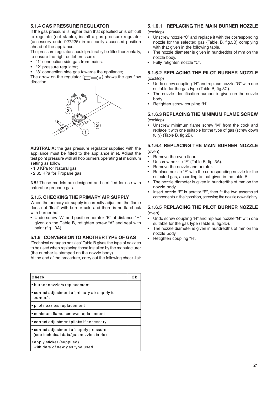#### **5.1.4 GAS PRESSURE REGULATOR**

If the gas pressure is higher than that specified or is difficult to regulate (not stable), install a gas pressure regulator (accessory code 927225) in an easily accessed position ahead of the appliance.

The pressure regulator should preferably be fitted horizontally, to ensure the right outlet pressure:

- "**1**" connection side gas from mains.
- "**2**" pressure regulator;
- "**3**" connection side gas towards the appliance;

The arrow on the regulator  $(\sqrt{})$  shows the gas flow direction.



**AUSTRALIA:** the gas pressure regulator supplied with the appliance must be fitted to the appliance inlet. Adjust the test point pressure with all hob burners operating at maximum setting as follow:

- 1.0 KPa for Natural gas
- 2.65 KPa for Propane gas

**NB!** These models are designed and certified for use with natural or propane gas.

#### **5.1.5. CHECKING THE PRIMARY AIR SUPPLY**

When the primary air supply is correctly adjusted, the flame does not "float" with burner cold and there is no flareback with burner hot.

• Undo screw "A" and position aerator "E" at distance "H" given on the Table B, retighten screw "A" and seal with paint (fig. 3A).

#### **5.1.6 CONVERSION TO ANOTHER TYPE OF GAS**

"Technical data/gas nozzles" Table B gives the type of nozzles to be used when replacing those installed by the manufacturer (the number is stamped on the nozzle body).

At the end of the procedure, carry out the following check-list:

| Check                                                                             |  |
|-----------------------------------------------------------------------------------|--|
| • burner nozzle/s replacement                                                     |  |
| • correct adjustment of primary air supply to<br>burner/s                         |  |
| · pilot nozzle/s replacement                                                      |  |
| • minimum flame screw/s replacement                                               |  |
| • correct adjustment pilot/s if necessary                                         |  |
| • correct adjustment of supply pressure<br>(see technical data/gas nozzles table) |  |
| • apply sticker (supplied)<br>with data of new gas type used                      |  |

#### **5.1.6.1 REPLACING THE MAIN BURNER NOZZLE** (cooktop)

- Unscrew nozzle "C" and replace it with the corresponding nozzle for the selected gas (Table. B, fig.3B) complying with that given in the following table.
- The nozzle diameter is given in hundredths of mm on the nozzle body.
- Fully retighten nozzle "C".

#### **5.1.6.2 REPLACING THE PILOT BURNER NOZZLE** (cooktop)

- Undo screw coupling "H" and replace nozzle "G" with one suitable for the gas type (Table B, fig.3C).
- The nozzle identification number is given on the nozzle body.
- Retighten screw coupling "H".

#### **5.1.6.3 REPLACING THE MINIMUM FLAME SCREW** (cooktop)

• Unscrew minimum flame screw "M" from the cock and replace it with one suitable for the type of gas (screw down fully) (Table B, fig.2B).

#### **5.1.6.4 REPLACING THE MAIN BURNER NOZZLE**

(oven)

- Remove the oven floor.
- Unscrew nozzle "F" (Table B, fig. 3A).
- Remove the nozzle and aerator.
- Replace nozzle "F" with the corresponding nozzle for the selected gas, according to that given in the table B.
- The nozzle diameter is given in hundredths of mm on the nozzle body.
- Insert nozzle "F" in aerator "E", then fit the two assembled components in their position, screwing the nozzle down tightly.

#### **5.1.6.5 REPLACING THE PILOT BURNER NOZZLE** (oven)

- Undo screw coupling "H" and replace nozzle "G" with one suitable for the gas type (Table B, fig.3D).
- The nozzle diameter is given in hundredths of mm on the nozzle body.
- Retighten coupling "H".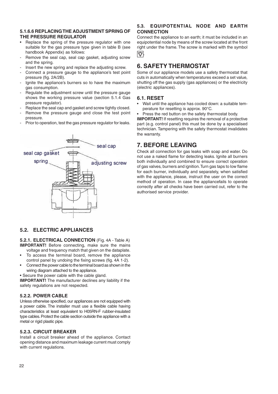#### **5.1.6.6 REPLACING THE ADJUSTMENT SPRING OF THE PRESSURE REGULATOR**

- Replace the spring of the pressure regulator with one suitable for the gas pressure type given in table B (see handbook Appendix) as follows:
- Remove the seal cap, seal cap gasket, adjusting screw and the spring.
- Insert the new spring and replace the adjusting screw.
- Connect a pressure gauge to the appliance's test point pressure (fig. 2A/2B).
- Ignite the appliance's burners so to have the maximum gas consumption.
- Regulate the adjustment screw until the pressure gauge shows the working pressure value (section 5.1.4 Gas pressure regulator).
- Replace the seal cap and gasket and screw tightly closed.
- Remove the pressure gauge and close the test point pressure.
- Prior to operation, test the gas pressure regulator for leaks.

# seal cap seal cap gasket spring adiusting screw

#### **5.2. ELECTRIC APPLIANCES**

**5.2.1. ELECTRICAL CONNECTION** (Fig. 4A - Table A) **IMPORTANT!** Before connecting, make sure the mains

- voltage and frequency match that given on the dataplate. To access the terminal board, remove the appliance control panel by undoing the fixing screws (fig. 4A 1-2).
- Connect the power cable to the terminal board as shown in the wiring diagram attached to the appliance.
- Secure the power cable with the cable gland.

**IMPORTANT!** The manufacturer declines any liability if the safety regulations are not respected.

#### **5.2.2. POWER CABLE**

Unless otherwise specified, our appliances are not equipped with a power cable. The installer must use a flexible cable having characteristics at least equivalent to H05RN-F rubber-insulated type cables. Protect the cable section outside the appliance with a metal or rigid plastic pipe.

#### **5.2.3. CIRCUIT BREAKER**

Install a circuit breaker ahead of the appliance. Contact opening distance and maximum leakage current must comply with current regulations.

#### **5.3. EQUIPOTENTIAL NODE AND EARTH CONNECTION**

Connect the appliance to an earth; it must be included in an equipotential node by means of the screw located at the front right under the frame. The screw is marked with the symbol **.**

# **6. SAFETY THERMOSTAT**

Some of our appliance models use a safety thermostat that cuts in automatically when temperatures exceed a set value, shutting off the gas supply (gas appliances) or the electricity (electric appliances).

#### **6.1. RESET**

• Wait until the appliance has cooled down: a suitable temperature for resetting is approx. 90°C.

Press the red button on the safety thermostat body.

**IMPORTANT!** If resetting requires the removal of a protective part (e.g. control panel) this must be done by a specialised technician. Tampering with the safety thermostat invalidates the warranty.

# **7. BEFORE LEAVING**

Check all connection for gas leaks with soap and water. Do not use a naked flame for detecting leaks. Ignite all burners both individually and combined to ensure correct operation of gas valves, burners and ignition. Turn gas taps to low flame for each burner, individually and separately, when satisfied with the appliance, please, instruct the user on the correct method of operation. In case the appliancefails to operate correctly after all checks have been carried out, refer to the authorised service provider.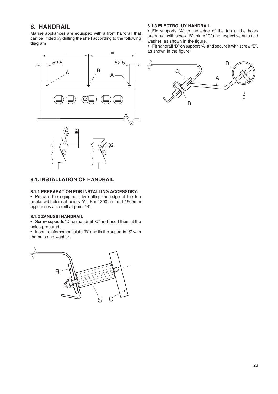## **8. HANDRAIL**

Marine appliances are equipped with a front handrail that can be fitted by drilling the shelf according to the following diagram



#### **8.1. INSTALLATION OF HANDRAIL**

#### **8.1.1 PREPARATION FOR INSTALLING ACCESSORY:**

• Prepare the equipment by drilling the edge of the top (make ø6 holes) at points "A". For 1200mm and 1600mm appliances also drill at point "B";

#### **8.1.2 ZANUSSI HANDRAIL**

• Screw supports "D" on handrail "C" and insert them at the holes prepared.

• Insert reinforcement plate "R" and fix the supports "S" with the nuts and washer.



#### **8.1.3 ELECTROLUX HANDRAIL**

• Fix supports "A" to the edge of the top at the holes prepared, with screw "B", plate "C" and respective nuts and washer, as shown in the figure.

• Fit handrail "D" on support "A" and secure it with screw "E", as shown in the figure.

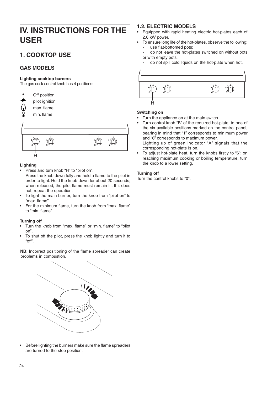# **IV. INSTRUCTIONS FOR THE USER**

# **1. COOKTOP USE**

#### **GAS MODELS**

#### **Lighting cooktop burners**

The gas cock control knob has 4 positions:

- Off position pilot ignition max. flame
	- min. flame



#### **Lighting**

• Press and turn knob "H" to "pilot on".

Press the knob down fully and hold a flame to the pilot in order to light. Hold the knob down for about 20 seconds; when released, the pilot flame must remain lit. If it does not, repeat the operation.

- To light the main burner, turn the knob from "pilot on" to "max. flame".
- For the minimum flame, turn the knob from "max. flame" to "min. flame".

#### **Turning off**

- Turn the knob from "max. flame" or "min. flame" to "pilot on".
- To shut off the pilot, press the knob lightly and turn it to "off".

**NB**: Incorrect positioning of the flame spreader can create problems in combustion.



• Before lighting the burners make sure the flame spreaders are turned to the stop position.

## **1.2. ELECTRIC MODELS**

- Equipped with rapid heating electric hot-plates each of 2.6 kW power.
- To ensure long life of the hot-plates, observe the following: use flat-bottomed pots;
- do not leave the hot-plates switched on without pots or with empty pots.
- do not spill cold liquids on the hot-plate when hot.



#### **Switching on**

- Turn the appliance on at the main switch.
- Turn control knob "B" of the required hot-plate, to one of the six available positions marked on the control panel, bearing in mind that "1" corresponds to minimum power and "6" corresponds to maximum power.

Lighting up of green indicator "A" signals that the corresponding hot-plate is on.

To adjust hot-plate heat, turn the knobs firstly to "6"; on reaching maximum cooking or boiling temperature, turn the knob to a lower setting.

#### **Turning off**

Turn the control knobs to "0".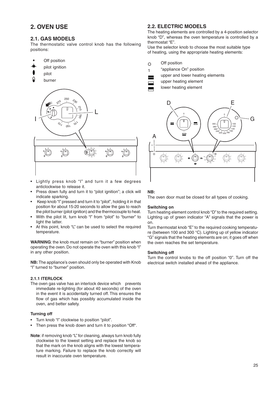# **2. OVEN USE**

#### **2.1. GAS MODELS**

The thermostatic valve control knob has the following positions:

- Off position
- pilot ignition
- pilot
- burner



- Lightly press knob "I" and turn it a few degrees anticlockwise to release it.
- Press down fully and turn it to "pilot ignition"; a click will indicate sparking.
- Keep knob "I" pressed and turn it to "pilot", holding it in that position for about 15-20 seconds to allow the gas to reach the pilot burner (pilot ignition) and the thermocouple to heat.
- With the pilot lit, turn knob "l" from "pilot" to "burner" to light the latter.
- At this point, knob "L" can be used to select the required temperature.

**WARNING**: the knob must remain on "burner" position when operating the oven. Do not operate the oven with this knob "I" in any other position.

**NB:** The appliance's oven should only be operated with Knob "I" turned to "burner" position.

#### **2.1.1 ITERLOCK**

The oven gas valve has an interlock device which prevents immediate re-lighting (for about 40 seconds) of the oven in the event it is accidentally turned off. This ensures the flow of gas which has possibly accumulated inside the oven, and better safety.

#### **Turning off**

- Turn knob "I" clockwise to position "pilot".
- Then press the knob down and turn it to position "Off".
- **Note**: if removing knob "L" for cleaning, always turn knob fully clockwise to the lowest setting and replace the knob so that the mark on the knob aligns with the lowest temperature marking. Failure to replace the knob correctly will result in inaccurate oven temperature.

#### **2.2. ELECTRIC MODELS**

The heating elements are controlled by a 4-position selector knob "D", whereas the oven temperature is controlled by a thermostat "E".

Use the selector knob to choose the most suitable type of heating, using the appropriate heating elements:

- Off position O
	- "appliance On" position
	- upper and lower heating elements
	- upper heating element

1

lower heating element



#### **NB:**

The oven door must be closed for all types of cooking.

#### **Switching on**

Turn heating element control knob "D" to the required setting. Lighting up of green indicator "A" signals that the power is on.

Turn thermostat knob "E" to the required cooking temperature (between 100 and 300 °C). Lighting up of yellow indicator "G" signals that the heating elements are on; it goes off when the oven reaches the set temperature.

#### **Switching off**

Turn the control knobs to the off position "0". Turn off the electrical switch installed ahead of the appliance.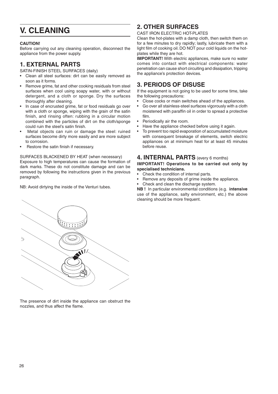# **V. CLEANING**

#### **CAUTION!**

Before carrying out any cleaning operation, disconnect the appliance from the power supply.

# **1. EXTERNAL PARTS**

SATIN-FINISH STEEL SURFACES (daily)

- Clean all steel surfaces: dirt can be easily removed as soon as it forms.
- Remove grime, fat and other cooking residuals from steel surfaces when cool using soapy water, with or without detergent, and a cloth or sponge. Dry the surfaces thoroughly after cleaning.
- In case of encrusted grime, fat or food residuals go over with a cloth or sponge, wiping with the grain of the satin finish, and rinsing often: rubbing in a circular motion combined with the particles of dirt on the cloth/sponge could ruin the steel's satin finish.
- Metal objects can ruin or damage the steel: ruined surfaces become dirty more easily and are more subject to corrosion.
- Restore the satin finish if necessary.

#### SURFACES BLACKENED BY HEAT (when necessary)

Exposure to high temperatures can cause the formation of dark marks. These do not constitute damage and can be removed by following the instructions given in the previous paragraph.

NB: Avoid dirtying the inside of the Venturi tubes.

# **2. OTHER SURFACES**

CAST IRON ELECTRIC HOT-PLATES

Clean the hot-plates with a damp cloth, then switch them on for a few minutes to dry rapidly; lastly, lubricate them with a light film of cooking oil. DO NOT pour cold liquids on the hotplates while they are hot.

**IMPORTANT!** With electric appliances, make sure no water comes into contact with electrical components: water penetration can cause short circuiting and dissipation, tripping the appliance's protection devices.

# **3. PERIODS OF DISUSE**

If the equipment is not going to be used for some time, take the following precautions:

- Close cocks or main switches ahead of the appliances.
- Go over all stainless-steel surfaces vigorously with a cloth moistened with paraffin oil in order to spread a protective film.
- Periodically air the room.
- Have the appliance checked before using it again.
- To prevent too rapid evaporation of accumulated moisture with consequent breakage of elements, switch electric appliances on at minimum heat for at least 45 minutes before reuse.

### **4. INTERNAL PARTS** (every 6 months)

#### **IMPORTANT! Operations to be carried out only by specialised technicians.**

- Check the condition of internal parts.
- Remove any deposits of grime inside the appliance.
- Check and clean the discharge system.

**NB !** In particular environmental conditions (e.g. **intensive** use of the appliance, salty environment, etc.) the above cleaning should be more frequent.



The presence of dirt inside the appliance can obstruct the nozzles, and thus affect the flame.